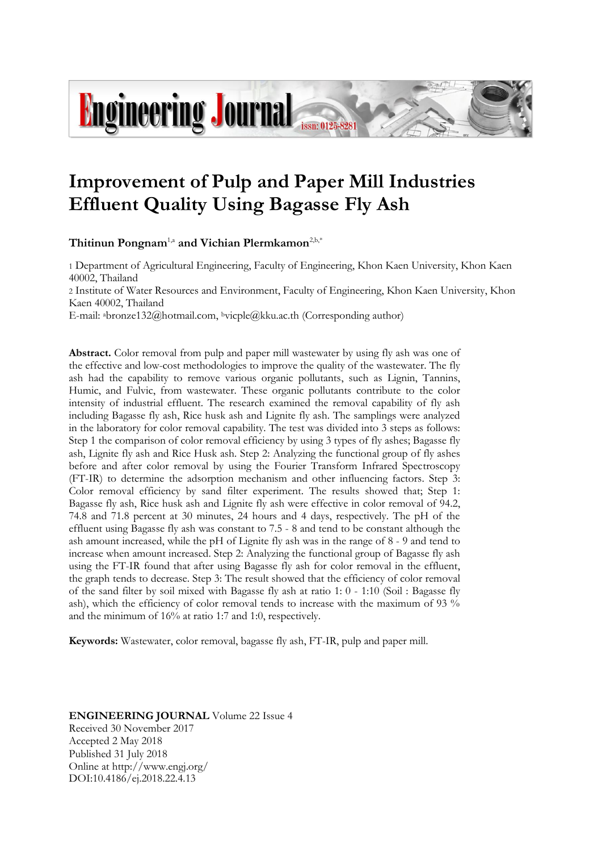# **Engineering Journal**

## **Improvement of Pulp and Paper Mill Industries Effluent Quality Using Bagasse Fly Ash**

**Thitinun Pongnam**1,a **and Vichian Plermkamon**2,b,\*

1 Department of Agricultural Engineering, Faculty of Engineering, Khon Kaen University, Khon Kaen 40002, Thailand

2 Institute of Water Resources and Environment, Faculty of Engineering, Khon Kaen University, Khon Kaen 40002, Thailand

E-mail: abronze132@hotmail.com, <sup>b</sup>vicple@kku.ac.th (Corresponding author)

**Abstract.** Color removal from pulp and paper mill wastewater by using fly ash was one of the effective and low-cost methodologies to improve the quality of the wastewater. The fly ash had the capability to remove various organic pollutants, such as Lignin, Tannins, Humic, and Fulvic, from wastewater. These organic pollutants contribute to the color intensity of industrial effluent. The research examined the removal capability of fly ash including Bagasse fly ash, Rice husk ash and Lignite fly ash. The samplings were analyzed in the laboratory for color removal capability. The test was divided into 3 steps as follows: Step 1 the comparison of color removal efficiency by using 3 types of fly ashes; Bagasse fly ash, Lignite fly ash and Rice Husk ash. Step 2: Analyzing the functional group of fly ashes before and after color removal by using the Fourier Transform Infrared Spectroscopy (FT-IR) to determine the adsorption mechanism and other influencing factors. Step 3: Color removal efficiency by sand filter experiment. The results showed that; Step 1: Bagasse fly ash, Rice husk ash and Lignite fly ash were effective in color removal of 94.2, 74.8 and 71.8 percent at 30 minutes, 24 hours and 4 days, respectively. The pH of the effluent using Bagasse fly ash was constant to 7.5 - 8 and tend to be constant although the ash amount increased, while the pH of Lignite fly ash was in the range of 8 - 9 and tend to increase when amount increased. Step 2: Analyzing the functional group of Bagasse fly ash using the FT-IR found that after using Bagasse fly ash for color removal in the effluent, the graph tends to decrease. Step 3: The result showed that the efficiency of color removal of the sand filter by soil mixed with Bagasse fly ash at ratio 1: 0 - 1:10 (Soil : Bagasse fly ash), which the efficiency of color removal tends to increase with the maximum of 93 % and the minimum of 16% at ratio 1:7 and 1:0, respectively.

**Keywords:** Wastewater, color removal, bagasse fly ash, FT-IR, pulp and paper mill.

#### **ENGINEERING JOURNAL** Volume 22 Issue 4 Received 30 November 2017

Accepted 2 May 2018 Published 31 July 2018 Online at http://www.engj.org/ DOI:10.4186/ej.2018.22.4.13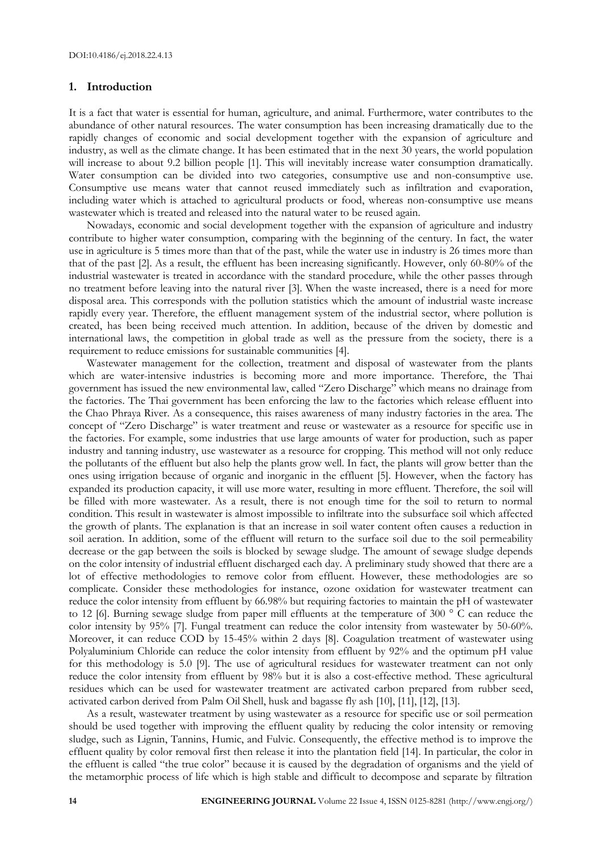#### **1. Introduction**

It is a fact that water is essential for human, agriculture, and animal. Furthermore, water contributes to the abundance of other natural resources. The water consumption has been increasing dramatically due to the rapidly changes of economic and social development together with the expansion of agriculture and industry, as well as the climate change. It has been estimated that in the next 30 years, the world population will increase to about 9.2 billion people [1]. This will inevitably increase water consumption dramatically. Water consumption can be divided into two categories, consumptive use and non-consumptive use. Consumptive use means water that cannot reused immediately such as infiltration and evaporation, including water which is attached to agricultural products or food, whereas non-consumptive use means wastewater which is treated and released into the natural water to be reused again.

Nowadays, economic and social development together with the expansion of agriculture and industry contribute to higher water consumption, comparing with the beginning of the century. In fact, the water use in agriculture is 5 times more than that of the past, while the water use in industry is 26 times more than that of the past [2]. As a result, the effluent has been increasing significantly. However, only 60-80% of the industrial wastewater is treated in accordance with the standard procedure, while the other passes through no treatment before leaving into the natural river [3]. When the waste increased, there is a need for more disposal area. This corresponds with the pollution statistics which the amount of industrial waste increase rapidly every year. Therefore, the effluent management system of the industrial sector, where pollution is created, has been being received much attention. In addition, because of the driven by domestic and international laws, the competition in global trade as well as the pressure from the society, there is a requirement to reduce emissions for sustainable communities [4].

Wastewater management for the collection, treatment and disposal of wastewater from the plants which are water-intensive industries is becoming more and more importance. Therefore, the Thai government has issued the new environmental law, called "Zero Discharge" which means no drainage from the factories. The Thai government has been enforcing the law to the factories which release effluent into the Chao Phraya River. As a consequence, this raises awareness of many industry factories in the area. The concept of "Zero Discharge" is water treatment and reuse or wastewater as a resource for specific use in the factories. For example, some industries that use large amounts of water for production, such as paper industry and tanning industry, use wastewater as a resource for cropping. This method will not only reduce the pollutants of the effluent but also help the plants grow well. In fact, the plants will grow better than the ones using irrigation because of organic and inorganic in the effluent [5]. However, when the factory has expanded its production capacity, it will use more water, resulting in more effluent. Therefore, the soil will be filled with more wastewater. As a result, there is not enough time for the soil to return to normal condition. This result in wastewater is almost impossible to infiltrate into the subsurface soil which affected the growth of plants. The explanation is that an increase in soil water content often causes a reduction in soil aeration. In addition, some of the effluent will return to the surface soil due to the soil permeability decrease or the gap between the soils is blocked by sewage sludge. The amount of sewage sludge depends on the color intensity of industrial effluent discharged each day. A preliminary study showed that there are a lot of effective methodologies to remove color from effluent. However, these methodologies are so complicate. Consider these methodologies for instance, ozone oxidation for wastewater treatment can reduce the color intensity from effluent by 66.98% but requiring factories to maintain the pH of wastewater to 12 [6]. Burning sewage sludge from paper mill effluents at the temperature of 300 ° C can reduce the color intensity by 95% [7]. Fungal treatment can reduce the color intensity from wastewater by 50-60%. Moreover, it can reduce COD by 15-45% within 2 days [8]. Coagulation treatment of wastewater using Polyaluminium Chloride can reduce the color intensity from effluent by 92% and the optimum pH value for this methodology is 5.0 [9]. The use of agricultural residues for wastewater treatment can not only reduce the color intensity from effluent by 98% but it is also a cost-effective method. These agricultural residues which can be used for wastewater treatment are activated carbon prepared from rubber seed, activated carbon derived from Palm Oil Shell, husk and bagasse fly ash [10], [11], [12], [13].

As a result, wastewater treatment by using wastewater as a resource for specific use or soil permeation should be used together with improving the effluent quality by reducing the color intensity or removing sludge, such as Lignin, Tannins, Humic, and Fulvic. Consequently, the effective method is to improve the effluent quality by color removal first then release it into the plantation field [14]. In particular, the color in the effluent is called "the true color" because it is caused by the degradation of organisms and the yield of the metamorphic process of life which is high stable and difficult to decompose and separate by filtration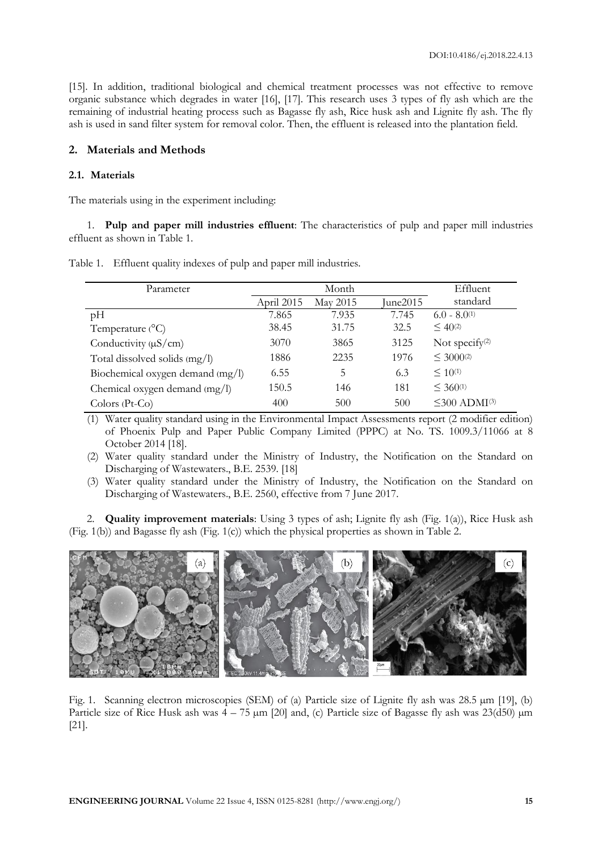[15]. In addition, traditional biological and chemical treatment processes was not effective to remove organic substance which degrades in water [16], [17]. This research uses 3 types of fly ash which are the remaining of industrial heating process such as Bagasse fly ash, Rice husk ash and Lignite fly ash. The fly ash is used in sand filter system for removal color. Then, the effluent is released into the plantation field.

#### **2. Materials and Methods**

#### **2.1. Materials**

The materials using in the experiment including:

1. **Pulp and paper mill industries effluent**: The characteristics of pulp and paper mill industries effluent as shown in Table 1.

| Parameter                        |            | Month    | Effluent |                                |
|----------------------------------|------------|----------|----------|--------------------------------|
|                                  | April 2015 | May 2015 | June2015 | standard                       |
| pH                               | 7.865      | 7.935    | 7.745    | $6.0 - 8.0^{(1)}$              |
| Temperature $(^{\circ}C)$        | 38.45      | 31.75    | 32.5     | $\leq 40^{(2)}$                |
| Conductivity $(\mu S/cm)$        | 3070       | 3865     | 3125     | Not specify $(2)$              |
| Total dissolved solids (mg/l)    | 1886       | 2235     | 1976     | $\leq 3000^{(2)}$              |
| Biochemical oxygen demand (mg/l) | 6.55       | 5        | 6.3      | $\leq 10^{(1)}$                |
| Chemical oxygen demand (mg/l)    | 150.5      | 146      | 181      | $\leq 360^{(1)}$               |
| $Colors (Pt-Co)$                 | 400        | 500      | 500      | $\leq$ 300 ADMI <sup>(3)</sup> |

Table 1. Effluent quality indexes of pulp and paper mill industries.

(1) Water quality standard using in the Environmental Impact Assessments report (2 modifier edition) of Phoenix Pulp and Paper Public Company Limited (PPPC) at No. TS. 1009.3/11066 at 8 October 2014 [18].

(2) Water quality standard under the Ministry of Industry, the Notification on the Standard on Discharging of Wastewaters., B.E. 2539. [18]

(3) Water quality standard under the Ministry of Industry, the Notification on the Standard on Discharging of Wastewaters., B.E. 2560, effective from 7 June 2017.

**Quality improvement materials**: Using 3 types of ash; Lignite fly ash (Fig. 1(a)), Rice Husk ash (Fig. 1(b)) and Bagasse fly ash (Fig. 1(c)) which the physical properties as shown in Table 2.



Fig. 1. Scanning electron microscopies (SEM) of (a) Particle size of Lignite fly ash was 28.5  $\mu$ m [19], (b) Particle size of Rice Husk ash was  $4 - 75 \mu m$  [20] and, (c) Particle size of Bagasse fly ash was  $23(\text{d}50) \mu m$ [21].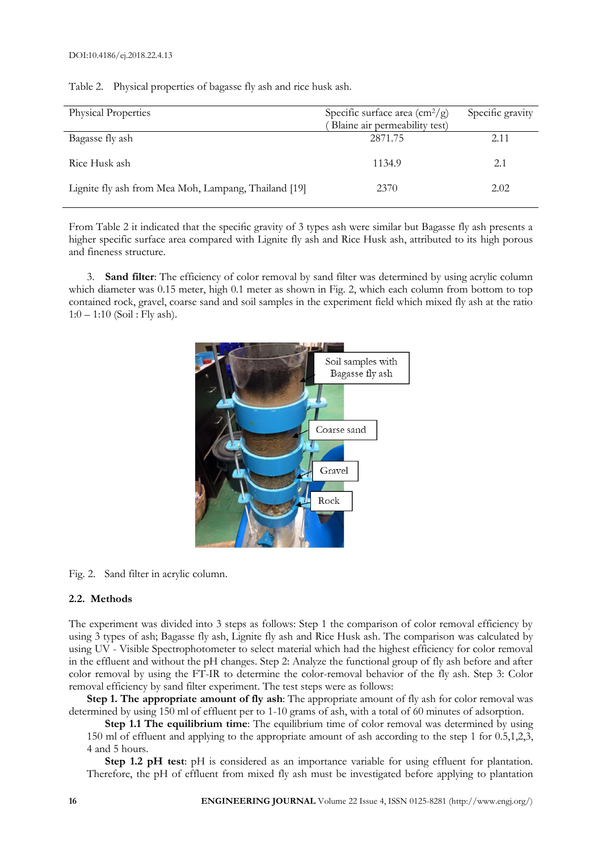Table 2. Physical properties of bagasse fly ash and rice husk ash.

| <b>Physical Properties</b>                           | Specific surface area $\left(\frac{cm^2}{g}\right)$<br>Blaine air permeability test) | Specific gravity |
|------------------------------------------------------|--------------------------------------------------------------------------------------|------------------|
| Bagasse fly ash                                      | 2871.75                                                                              | 2.11             |
| Rice Husk ash                                        | 1134.9                                                                               | 2.1              |
| Lignite fly ash from Mea Moh, Lampang, Thailand [19] | 2370                                                                                 | 2.02             |

From Table 2 it indicated that the specific gravity of 3 types ash were similar but Bagasse fly ash presents a higher specific surface area compared with Lignite fly ash and Rice Husk ash, attributed to its high porous and fineness structure.

3. **Sand filter**: The efficiency of color removal by sand filter was determined by using acrylic column which diameter was 0.15 meter, high 0.1 meter as shown in Fig. 2, which each column from bottom to top contained rock, gravel, coarse sand and soil samples in the experiment field which mixed fly ash at the ratio  $1:0 - 1:10$  (Soil: Fly ash).



Fig. 2. Sand filter in acrylic column.

#### **2.2. Methods**

The experiment was divided into 3 steps as follows: Step 1 the comparison of color removal efficiency by using 3 types of ash; Bagasse fly ash, Lignite fly ash and Rice Husk ash. The comparison was calculated by using UV - Visible Spectrophotometer to select material which had the highest efficiency for color removal in the effluent and without the pH changes. Step 2: Analyze the functional group of fly ash before and after color removal by using the FT-IR to determine the color-removal behavior of the fly ash. Step 3: Color removal efficiency by sand filter experiment. The test steps were as follows:

**Step 1. The appropriate amount of fly ash**: The appropriate amount of fly ash for color removal was determined by using 150 ml of effluent per to 1-10 grams of ash, with a total of 60 minutes of adsorption.

**Step 1.1 The equilibrium time**: The equilibrium time of color removal was determined by using 150 ml of effluent and applying to the appropriate amount of ash according to the step 1 for 0.5,1,2,3, 4 and 5 hours.

**Step 1.2 pH test**: pH is considered as an importance variable for using effluent for plantation. Therefore, the pH of effluent from mixed fly ash must be investigated before applying to plantation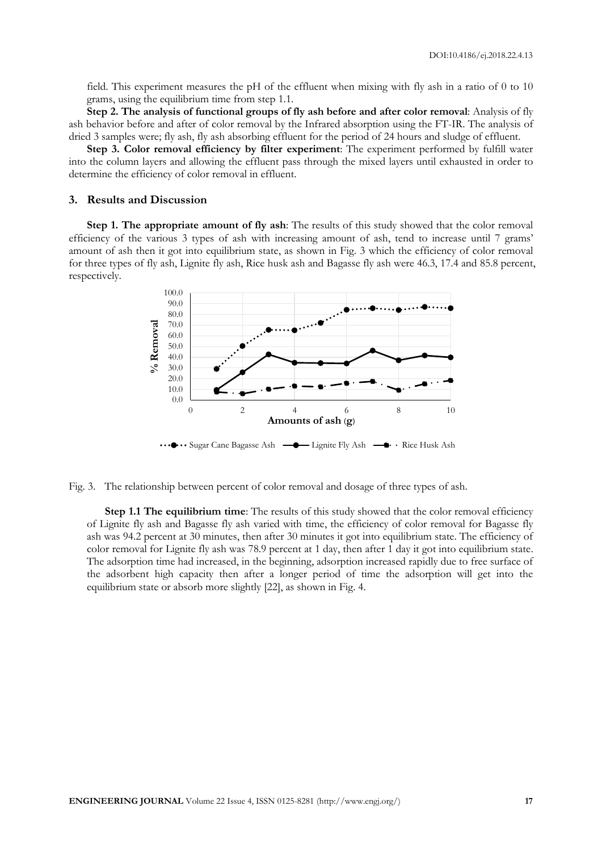field. This experiment measures the pH of the effluent when mixing with fly ash in a ratio of 0 to 10 grams, using the equilibrium time from step 1.1.

**Step 2. The analysis of functional groups of fly ash before and after color removal**: Analysis of fly ash behavior before and after of color removal by the Infrared absorption using the FT-IR. The analysis of dried 3 samples were; fly ash, fly ash absorbing effluent for the period of 24 hours and sludge of effluent.

**Step 3. Color removal efficiency by filter experiment**: The experiment performed by fulfill water into the column layers and allowing the effluent pass through the mixed layers until exhausted in order to determine the efficiency of color removal in effluent.

#### **3. Results and Discussion**

**Step 1. The appropriate amount of fly ash**: The results of this study showed that the color removal efficiency of the various 3 types of ash with increasing amount of ash, tend to increase until 7 grams' amount of ash then it got into equilibrium state, as shown in Fig. 3 which the efficiency of color removal for three types of fly ash, Lignite fly ash, Rice husk ash and Bagasse fly ash were 46.3, 17.4 and 85.8 percent, respectively.



Fig. 3. The relationship between percent of color removal and dosage of three types of ash.

**Step 1.1 The equilibrium time:** The results of this study showed that the color removal efficiency of Lignite fly ash and Bagasse fly ash varied with time, the efficiency of color removal for Bagasse fly ash was 94.2 percent at 30 minutes, then after 30 minutes it got into equilibrium state. The efficiency of color removal for Lignite fly ash was 78.9 percent at 1 day, then after 1 day it got into equilibrium state. The adsorption time had increased, in the beginning, adsorption increased rapidly due to free surface of the adsorbent high capacity then after a longer period of time the adsorption will get into the equilibrium state or absorb more slightly [22], as shown in Fig. 4.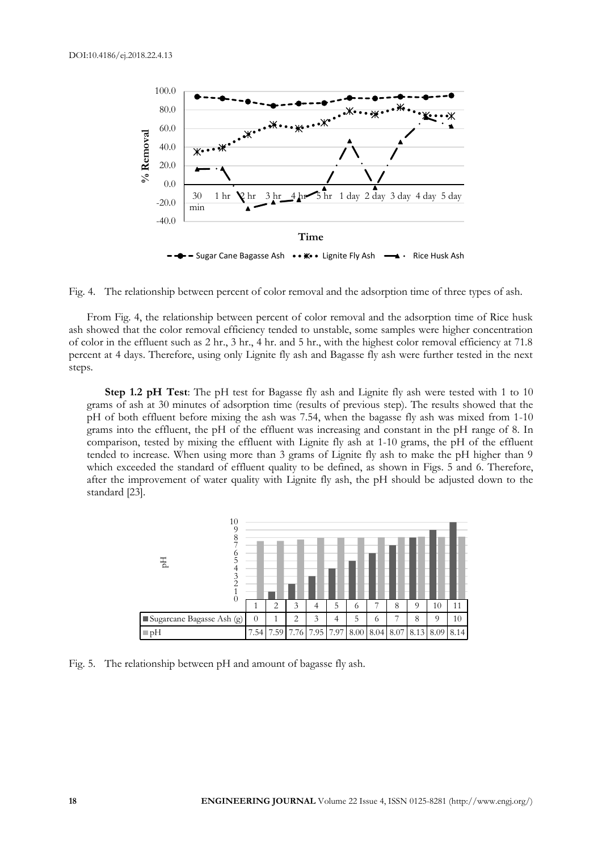

Fig. 4. The relationship between percent of color removal and the adsorption time of three types of ash.

From Fig. 4, the relationship between percent of color removal and the adsorption time of Rice husk ash showed that the color removal efficiency tended to unstable, some samples were higher concentration of color in the effluent such as 2 hr., 3 hr., 4 hr. and 5 hr., with the highest color removal efficiency at 71.8 percent at 4 days. Therefore, using only Lignite fly ash and Bagasse fly ash were further tested in the next steps.

**Step 1.2 pH Test**: The pH test for Bagasse fly ash and Lignite fly ash were tested with 1 to 10 grams of ash at 30 minutes of adsorption time (results of previous step). The results showed that the pH of both effluent before mixing the ash was 7.54, when the bagasse fly ash was mixed from 1-10 grams into the effluent, the pH of the effluent was increasing and constant in the pH range of 8. In comparison, tested by mixing the effluent with Lignite fly ash at 1-10 grams, the pH of the effluent tended to increase. When using more than 3 grams of Lignite fly ash to make the pH higher than 9 which exceeded the standard of effluent quality to be defined, as shown in Figs. 5 and 6. Therefore, after the improvement of water quality with Lignite fly ash, the pH should be adjusted down to the standard [23].



Fig. 5. The relationship between pH and amount of bagasse fly ash.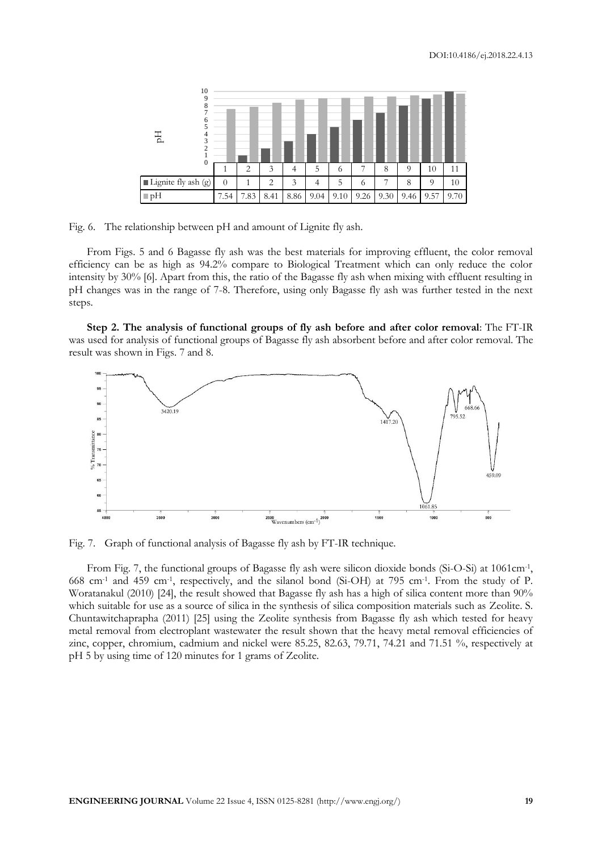| 10<br>Q<br>瓦        |          |                |      |      |      |      |      |      |          |          |      |
|---------------------|----------|----------------|------|------|------|------|------|------|----------|----------|------|
| $\theta$            |          | $\overline{2}$ | 3    | Δ    | 5    | 6    |      | 8    | $\Omega$ | 10       | 11   |
| Lignite fly ash (g) | $\theta$ |                | 2    | 3    | 4    | 5    | 6    |      | 8        | $\Omega$ | 10   |
| $\neg pH$           | 7.54     | 7.83           | 8.41 | 8.86 | 9.04 | 9.10 | 9.26 | 9.30 | 9.46     | 9.57     | 9.70 |

Fig. 6. The relationship between pH and amount of Lignite fly ash.

From Figs. 5 and 6 Bagasse fly ash was the best materials for improving effluent, the color removal efficiency can be as high as 94.2% compare to Biological Treatment which can only reduce the color intensity by 30% [6]. Apart from this, the ratio of the Bagasse fly ash when mixing with effluent resulting in pH changes was in the range of 7-8. Therefore, using only Bagasse fly ash was further tested in the next steps.

**Step 2. The analysis of functional groups of fly ash before and after color removal**: The FT-IR was used for analysis of functional groups of Bagasse fly ash absorbent before and after color removal. The result was shown in Figs. 7 and 8.



Fig. 7. Graph of functional analysis of Bagasse fly ash by FT-IR technique.

From Fig. 7, the functional groups of Bagasse fly ash were silicon dioxide bonds (Si-O-Si) at 1061cm<sup>-1</sup>, 668 cm-1 and 459 cm-1 , respectively, and the silanol bond (Si-OH) at 795 cm-1 . From the study of P. Woratanakul (2010) [24], the result showed that Bagasse fly ash has a high of silica content more than 90% which suitable for use as a source of silica in the synthesis of silica composition materials such as Zeolite. S. Chuntawitchaprapha (2011) [25] using the Zeolite synthesis from Bagasse fly ash which tested for heavy metal removal from electroplant wastewater the result shown that the heavy metal removal efficiencies of zinc, copper, chromium, cadmium and nickel were 85.25, 82.63, 79.71, 74.21 and 71.51 %, respectively at pH 5 by using time of 120 minutes for 1 grams of Zeolite.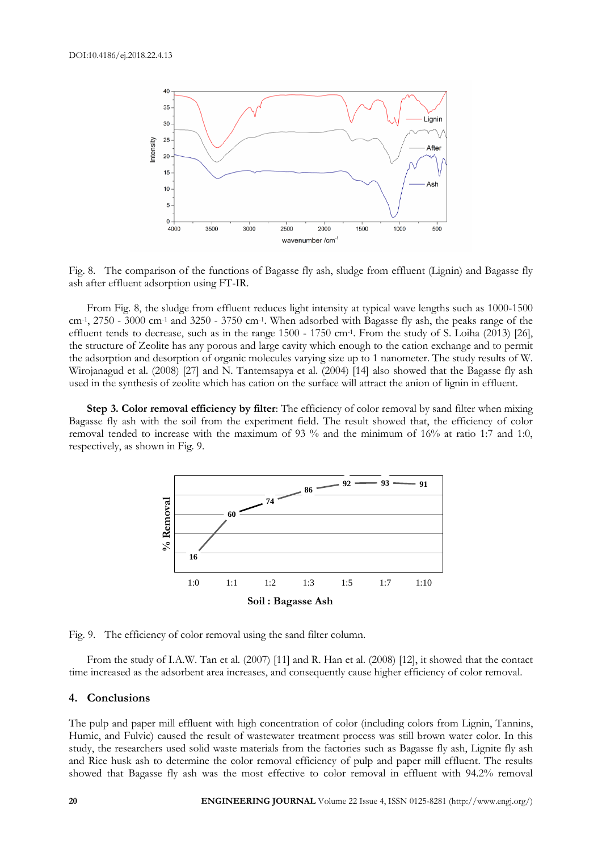

Fig. 8. The comparison of the functions of Bagasse fly ash, sludge from effluent (Lignin) and Bagasse fly ash after effluent adsorption using FT-IR.

From Fig. 8, the sludge from effluent reduces light intensity at typical wave lengths such as 1000-1500  $cm<sup>-1</sup>$ , 2750 - 3000 cm<sup>-1</sup> and 3250 - 3750 cm<sup>-1</sup>. When adsorbed with Bagasse fly ash, the peaks range of the effluent tends to decrease, such as in the range 1500 - 1750 cm<sup>-1</sup>. From the study of S. Loiha (2013) [26], the structure of Zeolite has any porous and large cavity which enough to the cation exchange and to permit the adsorption and desorption of organic molecules varying size up to 1 nanometer. The study results of W. Wirojanagud et al. (2008) [27] and N. Tantemsapya et al. (2004) [14] also showed that the Bagasse fly ash used in the synthesis of zeolite which has cation on the surface will attract the anion of lignin in effluent.

**Step 3. Color removal efficiency by filter**: The efficiency of color removal by sand filter when mixing Bagasse fly ash with the soil from the experiment field. The result showed that, the efficiency of color removal tended to increase with the maximum of 93 % and the minimum of 16% at ratio 1:7 and 1:0, respectively, as shown in Fig. 9.



Fig. 9. The efficiency of color removal using the sand filter column.

From the study of I.A.W. Tan et al. (2007) [11] and R. Han et al. (2008) [12], it showed that the contact time increased as the adsorbent area increases, and consequently cause higher efficiency of color removal.

#### **4. Conclusions**

The pulp and paper mill effluent with high concentration of color (including colors from Lignin, Tannins, Humic, and Fulvic) caused the result of wastewater treatment process was still brown water color. In this study, the researchers used solid waste materials from the factories such as Bagasse fly ash, Lignite fly ash and Rice husk ash to determine the color removal efficiency of pulp and paper mill effluent. The results showed that Bagasse fly ash was the most effective to color removal in effluent with 94.2% removal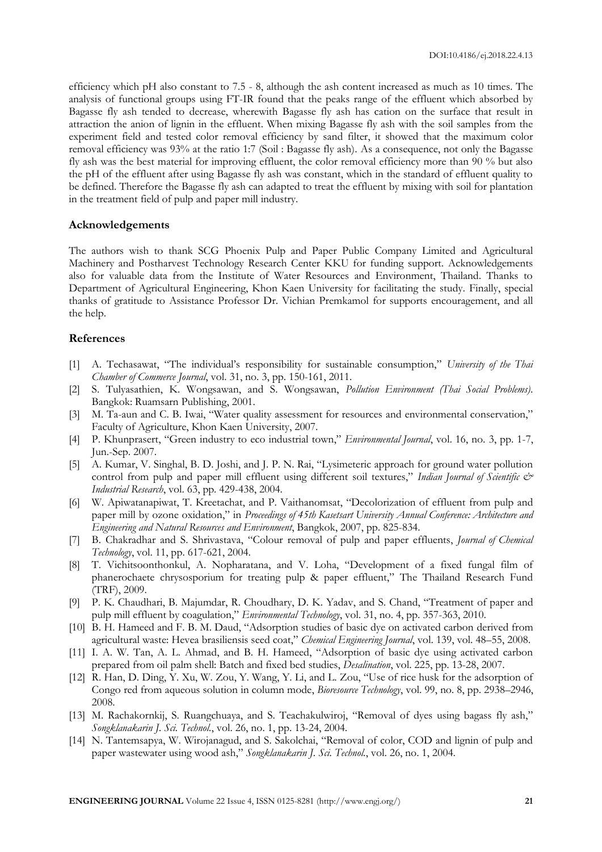efficiency which pH also constant to 7.5 - 8, although the ash content increased as much as 10 times. The analysis of functional groups using FT-IR found that the peaks range of the effluent which absorbed by Bagasse fly ash tended to decrease, wherewith Bagasse fly ash has cation on the surface that result in attraction the anion of lignin in the effluent. When mixing Bagasse fly ash with the soil samples from the experiment field and tested color removal efficiency by sand filter, it showed that the maximum color removal efficiency was 93% at the ratio 1:7 (Soil : Bagasse fly ash). As a consequence, not only the Bagasse fly ash was the best material for improving effluent, the color removal efficiency more than 90 % but also the pH of the effluent after using Bagasse fly ash was constant, which in the standard of effluent quality to be defined. Therefore the Bagasse fly ash can adapted to treat the effluent by mixing with soil for plantation in the treatment field of pulp and paper mill industry.

#### **Acknowledgements**

The authors wish to thank SCG Phoenix Pulp and Paper Public Company Limited and Agricultural Machinery and Postharvest Technology Research Center KKU for funding support. Acknowledgements also for valuable data from the Institute of Water Resources and Environment, Thailand. Thanks to Department of Agricultural Engineering, Khon Kaen University for facilitating the study. Finally, special thanks of gratitude to Assistance Professor Dr. Vichian Premkamol for supports encouragement, and all the help.

### **References**

- [1] A. Techasawat, "The individual's responsibility for sustainable consumption," *University of the Thai Chamber of Commerce Journal*, vol. 31, no. 3, pp. 150-161, 2011.
- [2] S. Tulyasathien, K. Wongsawan, and S. Wongsawan, *Pollution Environment (Thai Social Problems)*. Bangkok: Ruamsarn Publishing, 2001.
- [3] M. Ta-aun and C. B. Iwai, "Water quality assessment for resources and environmental conservation," Faculty of Agriculture, Khon Kaen University, 2007.
- [4] P. Khunprasert, "Green industry to eco industrial town," *Environmental Journal*, vol. 16, no. 3, pp. 1-7, Jun.-Sep. 2007.
- [5] A. Kumar, V. Singhal, B. D. Joshi, and J. P. N. Rai, "Lysimeteric approach for ground water pollution control from pulp and paper mill effluent using different soil textures," *Indian Journal of Scientific & Industrial Research*, vol. 63, pp. 429-438, 2004.
- [6] W. Apiwatanapiwat, T. Kreetachat, and P. Vaithanomsat, "Decolorization of effluent from pulp and paper mill by ozone oxidation," in *Proceedings of 45th Kasetsart University Annual Conference: Architecture and Engineering and Natural Resources and Environment*, Bangkok, 2007, pp. 825-834.
- [7] B. Chakradhar and S. Shrivastava, "Colour removal of pulp and paper effluents, *Journal of Chemical Technology*, vol. 11, pp. 617-621, 2004.
- [8] T. Vichitsoonthonkul, A. Nopharatana, and V. Loha, "Development of a fixed fungal film of phanerochaete chrysosporium for treating pulp & paper effluent," The Thailand Research Fund (TRF), 2009.
- [9] P. K. Chaudhari, B. Majumdar, R. Choudhary, D. K. Yadav, and S. Chand, "Treatment of paper and pulp mill effluent by coagulation," *Environmental Technology*, vol. 31, no. 4, pp. 357-363, 2010.
- [10] B. H. Hameed and F. B. M. Daud, "Adsorption studies of basic dye on activated carbon derived from agricultural waste: Hevea brasiliensis seed coat," *Chemical Engineering Journal*, vol. 139, vol. 48–55, 2008.
- [11] I. A. W. Tan, A. L. Ahmad, and B. H. Hameed, "Adsorption of basic dye using activated carbon prepared from oil palm shell: Batch and fixed bed studies, *Desalination*, vol. 225, pp. 13-28, 2007.
- [12] R. Han, D. Ding, Y. Xu, W. Zou, Y. Wang, Y. Li, and L. Zou, "Use of rice husk for the adsorption of Congo red from aqueous solution in column mode, *Bioresource Technology*, vol. 99, no. 8, pp. 2938–2946, 2008.
- [13] M. Rachakornkij, S. Ruangchuaya, and S. Teachakulwiroj, "Removal of dyes using bagass fly ash," *Songklanakarin J. Sci. Technol.*, vol. 26, no. 1, pp. 13-24, 2004.
- [14] N. Tantemsapya, W. Wirojanagud, and S. Sakolchai, "Removal of color, COD and lignin of pulp and paper wastewater using wood ash," *Songklanakarin J. Sci. Technol.*, vol. 26, no. 1, 2004.